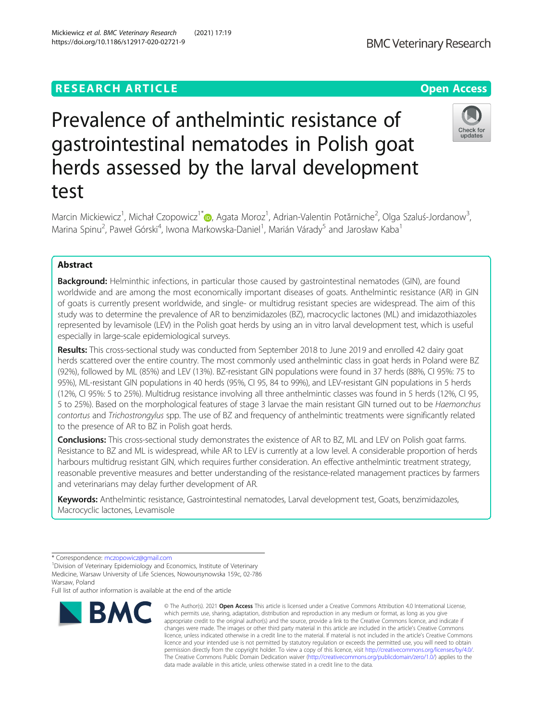# **RESEARCH ARTICLE Example 2014 12:30 The Contract of Contract ACCESS**

# Prevalence of anthelmintic resistance of gastrointestinal nematodes in Polish goat herds assessed by the larval development test

Marcin Mickiewicz<sup>1</sup>, Michał Czopowicz<sup>1\*</sup>®, Agata Moroz<sup>1</sup>, Adrian-Valentin Potărniche<sup>2</sup>, Olga Szaluś-Jordanow<sup>3</sup> , Marina Spinu<sup>2</sup>, Paweł Górski<sup>4</sup>, Iwona Markowska-Daniel<sup>1</sup>, Marián Várady<sup>5</sup> and Jarosław Kaba<sup>1</sup>

# Abstract

**Background:** Helminthic infections, in particular those caused by gastrointestinal nematodes (GIN), are found worldwide and are among the most economically important diseases of goats. Anthelmintic resistance (AR) in GIN of goats is currently present worldwide, and single- or multidrug resistant species are widespread. The aim of this study was to determine the prevalence of AR to benzimidazoles (BZ), macrocyclic lactones (ML) and imidazothiazoles represented by levamisole (LEV) in the Polish goat herds by using an in vitro larval development test, which is useful especially in large-scale epidemiological surveys.

Results: This cross-sectional study was conducted from September 2018 to June 2019 and enrolled 42 dairy goat herds scattered over the entire country. The most commonly used anthelmintic class in goat herds in Poland were BZ (92%), followed by ML (85%) and LEV (13%). BZ-resistant GIN populations were found in 37 herds (88%, CI 95%: 75 to 95%), ML-resistant GIN populations in 40 herds (95%, CI 95, 84 to 99%), and LEV-resistant GIN populations in 5 herds (12%, CI 95%: 5 to 25%). Multidrug resistance involving all three anthelmintic classes was found in 5 herds (12%, CI 95, 5 to 25%). Based on the morphological features of stage 3 larvae the main resistant GIN turned out to be Haemonchus contortus and Trichostrongylus spp. The use of BZ and frequency of anthelmintic treatments were significantly related to the presence of AR to BZ in Polish goat herds.

**Conclusions:** This cross-sectional study demonstrates the existence of AR to BZ, ML and LEV on Polish goat farms. Resistance to BZ and ML is widespread, while AR to LEV is currently at a low level. A considerable proportion of herds harbours multidrug resistant GIN, which requires further consideration. An effective anthelmintic treatment strategy, reasonable preventive measures and better understanding of the resistance-related management practices by farmers and veterinarians may delay further development of AR.

Keywords: Anthelmintic resistance, Gastrointestinal nematodes, Larval development test, Goats, benzimidazoles, Macrocyclic lactones, Levamisole

**BMC** 

Full list of author information is available at the end of the article

#### Mickiewicz et al. BMC Veterinary Research (2021) 17:19 https://doi.org/10.1186/s12917-020-02721-9

which permits use, sharing, adaptation, distribution and reproduction in any medium or format, as long as you give appropriate credit to the original author(s) and the source, provide a link to the Creative Commons licence, and indicate if changes were made. The images or other third party material in this article are included in the article's Creative Commons licence, unless indicated otherwise in a credit line to the material. If material is not included in the article's Creative Commons licence and your intended use is not permitted by statutory regulation or exceeds the permitted use, you will need to obtain permission directly from the copyright holder. To view a copy of this licence, visit [http://creativecommons.org/licenses/by/4.0/.](http://creativecommons.org/licenses/by/4.0/) The Creative Commons Public Domain Dedication waiver [\(http://creativecommons.org/publicdomain/zero/1.0/](http://creativecommons.org/publicdomain/zero/1.0/)) applies to the data made available in this article, unless otherwise stated in a credit line to the data.

© The Author(s), 2021 **Open Access** This article is licensed under a Creative Commons Attribution 4.0 International License,



<sup>\*</sup> Correspondence: [mczopowicz@gmail.com](mailto:mczopowicz@gmail.com) <sup>1</sup>

 $1$ Division of Veterinary Epidemiology and Economics, Institute of Veterinary Medicine, Warsaw University of Life Sciences, Nowoursynowska 159c, 02-786 Warsaw, Poland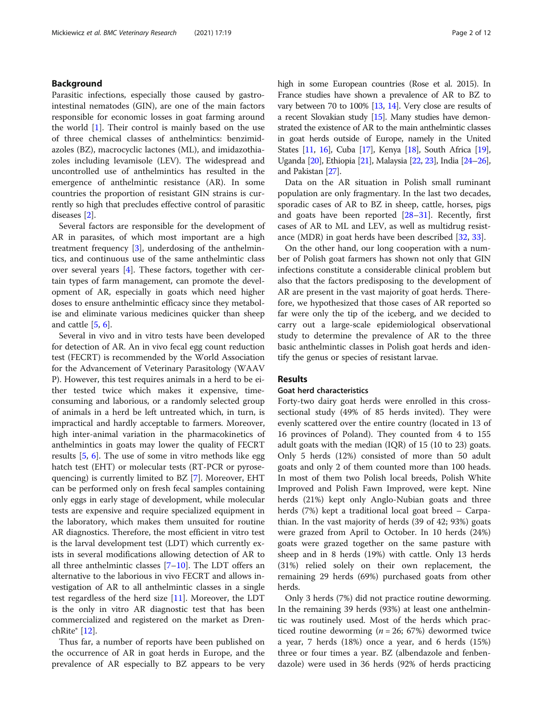# Background

Parasitic infections, especially those caused by gastrointestinal nematodes (GIN), are one of the main factors responsible for economic losses in goat farming around the world [[1\]](#page-10-0). Their control is mainly based on the use of three chemical classes of anthelmintics: benzimidazoles (BZ), macrocyclic lactones (ML), and imidazothiazoles including levamisole (LEV). The widespread and uncontrolled use of anthelmintics has resulted in the emergence of anthelmintic resistance (AR). In some countries the proportion of resistant GIN strains is currently so high that precludes effective control of parasitic diseases [\[2](#page-10-0)].

Several factors are responsible for the development of AR in parasites, of which most important are a high treatment frequency [[3\]](#page-10-0), underdosing of the anthelmintics, and continuous use of the same anthelmintic class over several years [\[4](#page-10-0)]. These factors, together with certain types of farm management, can promote the development of AR, especially in goats which need higher doses to ensure anthelmintic efficacy since they metabolise and eliminate various medicines quicker than sheep and cattle [[5,](#page-10-0) [6\]](#page-10-0).

Several in vivo and in vitro tests have been developed for detection of AR. An in vivo fecal egg count reduction test (FECRT) is recommended by the World Association for the Advancement of Veterinary Parasitology (WAAV P). However, this test requires animals in a herd to be either tested twice which makes it expensive, timeconsuming and laborious, or a randomly selected group of animals in a herd be left untreated which, in turn, is impractical and hardly acceptable to farmers. Moreover, high inter-animal variation in the pharmacokinetics of anthelmintics in goats may lower the quality of FECRT results [[5,](#page-10-0) [6](#page-10-0)]. The use of some in vitro methods like egg hatch test (EHT) or molecular tests (RT-PCR or pyrosequencing) is currently limited to BZ [\[7](#page-10-0)]. Moreover, EHT can be performed only on fresh fecal samples containing only eggs in early stage of development, while molecular tests are expensive and require specialized equipment in the laboratory, which makes them unsuited for routine AR diagnostics. Therefore, the most efficient in vitro test is the larval development test (LDT) which currently exists in several modifications allowing detection of AR to all three anthelmintic classes  $[7-10]$  $[7-10]$  $[7-10]$  $[7-10]$  $[7-10]$ . The LDT offers an alternative to the laborious in vivo FECRT and allows investigation of AR to all anthelmintic classes in a single test regardless of the herd size [[11](#page-10-0)]. Moreover, the LDT is the only in vitro AR diagnostic test that has been commercialized and registered on the market as DrenchRite® [[12](#page-10-0)].

Thus far, a number of reports have been published on the occurrence of AR in goat herds in Europe, and the prevalence of AR especially to BZ appears to be very high in some European countries (Rose et al. 2015). In France studies have shown a prevalence of AR to BZ to vary between 70 to 100% [[13](#page-10-0), [14\]](#page-10-0). Very close are results of a recent Slovakian study [\[15\]](#page-10-0). Many studies have demonstrated the existence of AR to the main anthelmintic classes in goat herds outside of Europe, namely in the United States [[11](#page-10-0), [16\]](#page-10-0), Cuba [\[17](#page-10-0)], Kenya [\[18\]](#page-10-0), South Africa [\[19](#page-10-0)], Uganda [\[20\]](#page-10-0), Ethiopia [\[21\]](#page-10-0), Malaysia [\[22,](#page-10-0) [23\]](#page-10-0), India [\[24](#page-10-0)–[26](#page-10-0)], and Pakistan [\[27\]](#page-10-0).

Data on the AR situation in Polish small ruminant population are only fragmentary. In the last two decades, sporadic cases of AR to BZ in sheep, cattle, horses, pigs and goats have been reported  $[28-31]$  $[28-31]$  $[28-31]$  $[28-31]$  $[28-31]$ . Recently, first cases of AR to ML and LEV, as well as multidrug resistance (MDR) in goat herds have been described [\[32,](#page-10-0) [33\]](#page-10-0).

On the other hand, our long cooperation with a number of Polish goat farmers has shown not only that GIN infections constitute a considerable clinical problem but also that the factors predisposing to the development of AR are present in the vast majority of goat herds. Therefore, we hypothesized that those cases of AR reported so far were only the tip of the iceberg, and we decided to carry out a large-scale epidemiological observational study to determine the prevalence of AR to the three basic anthelmintic classes in Polish goat herds and identify the genus or species of resistant larvae.

# Results

# Goat herd characteristics

Forty-two dairy goat herds were enrolled in this crosssectional study (49% of 85 herds invited). They were evenly scattered over the entire country (located in 13 of 16 provinces of Poland). They counted from 4 to 155 adult goats with the median (IQR) of 15 (10 to 23) goats. Only 5 herds (12%) consisted of more than 50 adult goats and only 2 of them counted more than 100 heads. In most of them two Polish local breeds, Polish White Improved and Polish Fawn Improved, were kept. Nine herds (21%) kept only Anglo-Nubian goats and three herds (7%) kept a traditional local goat breed – Carpathian. In the vast majority of herds (39 of 42; 93%) goats were grazed from April to October. In 10 herds (24%) goats were grazed together on the same pasture with sheep and in 8 herds (19%) with cattle. Only 13 herds (31%) relied solely on their own replacement, the remaining 29 herds (69%) purchased goats from other herds.

Only 3 herds (7%) did not practice routine deworming. In the remaining 39 herds (93%) at least one anthelmintic was routinely used. Most of the herds which practiced routine deworming ( $n = 26$ ; 67%) dewormed twice a year, 7 herds (18%) once a year, and 6 herds (15%) three or four times a year. BZ (albendazole and fenbendazole) were used in 36 herds (92% of herds practicing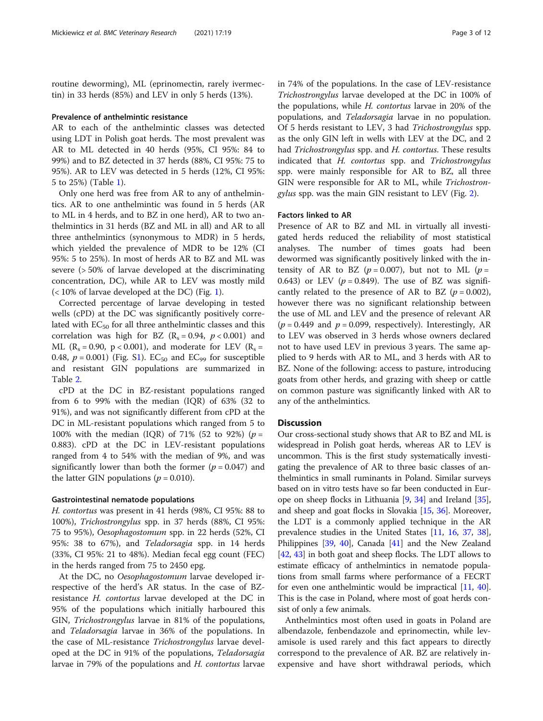routine deworming), ML (eprinomectin, rarely ivermectin) in 33 herds (85%) and LEV in only 5 herds (13%).

#### Prevalence of anthelmintic resistance

AR to each of the anthelmintic classes was detected using LDT in Polish goat herds. The most prevalent was AR to ML detected in 40 herds (95%, CI 95%: 84 to 99%) and to BZ detected in 37 herds (88%, CI 95%: 75 to 95%). AR to LEV was detected in 5 herds (12%, CI 95%: 5 to 25%) (Table [1\)](#page-3-0).

Only one herd was free from AR to any of anthelmintics. AR to one anthelmintic was found in 5 herds (AR to ML in 4 herds, and to BZ in one herd), AR to two anthelmintics in 31 herds (BZ and ML in all) and AR to all three anthelmintics (synonymous to MDR) in 5 herds, which yielded the prevalence of MDR to be 12% (CI 95%: 5 to 25%). In most of herds AR to BZ and ML was severe (> 50% of larvae developed at the discriminating concentration, DC), while AR to LEV was mostly mild (< 10% of larvae developed at the DC) (Fig. [1](#page-5-0)).

Corrected percentage of larvae developing in tested wells (cPD) at the DC was significantly positively correlated with  $EC_{50}$  for all three anthelmintic classes and this correlation was high for BZ  $(R_s = 0.94, p < 0.001)$  and ML ( $R_s = 0.90$ ,  $p < 0.001$ ), and moderate for LEV ( $R_s =$ 0.48,  $p = 0.001$ ) (Fig. [S1\)](#page-9-0). EC<sub>50</sub> and EC<sub>99</sub> for susceptible and resistant GIN populations are summarized in Table [2.](#page-5-0)

cPD at the DC in BZ-resistant populations ranged from 6 to 99% with the median (IQR) of 63% (32 to 91%), and was not significantly different from cPD at the DC in ML-resistant populations which ranged from 5 to 100% with the median (IQR) of 71% (52 to 92%) ( $p =$ 0.883). cPD at the DC in LEV-resistant populations ranged from 4 to 54% with the median of 9%, and was significantly lower than both the former ( $p = 0.047$ ) and the latter GIN populations ( $p = 0.010$ ).

#### Gastrointestinal nematode populations

H. contortus was present in 41 herds (98%, CI 95%: 88 to 100%), Trichostrongylus spp. in 37 herds (88%, CI 95%: 75 to 95%), Oesophagostomum spp. in 22 herds (52%, CI 95%: 38 to 67%), and Teladorsagia spp. in 14 herds (33%, CI 95%: 21 to 48%). Median fecal egg count (FEC) in the herds ranged from 75 to 2450 epg.

At the DC, no Oesophagostomum larvae developed irrespective of the herd's AR status. In the case of BZresistance H. contortus larvae developed at the DC in 95% of the populations which initially harboured this GIN, Trichostrongylus larvae in 81% of the populations, and Teladorsagia larvae in 36% of the populations. In the case of ML-resistance Trichostrongylus larvae developed at the DC in 91% of the populations, Teladorsagia larvae in 79% of the populations and H. contortus larvae in 74% of the populations. In the case of LEV-resistance Trichostrongylus larvae developed at the DC in 100% of the populations, while H. contortus larvae in 20% of the populations, and Teladorsagia larvae in no population. Of 5 herds resistant to LEV, 3 had Trichostrongylus spp. as the only GIN left in wells with LEV at the DC, and 2 had Trichostrongylus spp. and H. contortus. These results indicated that H. contortus spp. and Trichostrongylus spp. were mainly responsible for AR to BZ, all three GIN were responsible for AR to ML, while Trichostrongylus spp. was the main GIN resistant to LEV (Fig. [2](#page-6-0)).

#### Factors linked to AR

Presence of AR to BZ and ML in virtually all investigated herds reduced the reliability of most statistical analyses. The number of times goats had been dewormed was significantly positively linked with the intensity of AR to BZ ( $p = 0.007$ ), but not to ML ( $p =$ 0.643) or LEV ( $p = 0.849$ ). The use of BZ was significantly related to the presence of AR to BZ  $(p = 0.002)$ , however there was no significant relationship between the use of ML and LEV and the presence of relevant AR  $(p = 0.449$  and  $p = 0.099$ , respectively). Interestingly, AR to LEV was observed in 3 herds whose owners declared not to have used LEV in previous 3 years. The same applied to 9 herds with AR to ML, and 3 herds with AR to BZ. None of the following: access to pasture, introducing goats from other herds, and grazing with sheep or cattle on common pasture was significantly linked with AR to any of the anthelmintics.

# **Discussion**

Our cross-sectional study shows that AR to BZ and ML is widespread in Polish goat herds, whereas AR to LEV is uncommon. This is the first study systematically investigating the prevalence of AR to three basic classes of anthelmintics in small ruminants in Poland. Similar surveys based on in vitro tests have so far been conducted in Europe on sheep flocks in Lithuania [\[9](#page-10-0), [34](#page-10-0)] and Ireland [[35](#page-10-0)], and sheep and goat flocks in Slovakia [\[15,](#page-10-0) [36\]](#page-10-0). Moreover, the LDT is a commonly applied technique in the AR prevalence studies in the United States [\[11](#page-10-0), [16](#page-10-0), [37](#page-10-0), [38](#page-10-0)], Philippines [\[39](#page-11-0), [40](#page-11-0)], Canada [[41](#page-11-0)] and the New Zealand [[42](#page-11-0), [43](#page-11-0)] in both goat and sheep flocks. The LDT allows to estimate efficacy of anthelmintics in nematode populations from small farms where performance of a FECRT for even one anthelmintic would be impractical [\[11,](#page-10-0) [40](#page-11-0)]. This is the case in Poland, where most of goat herds consist of only a few animals.

Anthelmintics most often used in goats in Poland are albendazole, fenbendazole and eprinomectin, while levamisole is used rarely and this fact appears to directly correspond to the prevalence of AR. BZ are relatively inexpensive and have short withdrawal periods, which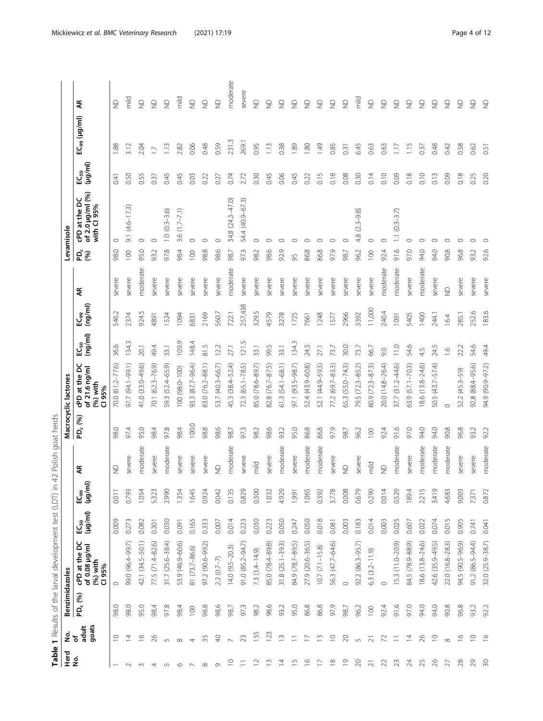<span id="page-3-0"></span>

| Herd                     |                         | Benzimidazoles                   | Table 1 Results of the larval development test (LDT)    |                             | $\supseteq$ .         | Polish goat herds<br>42 |                     | Macrocyclic lactones                                      |                       |                      |              |            | Levamisole                                       |                          |                          |                         |
|--------------------------|-------------------------|----------------------------------|---------------------------------------------------------|-----------------------------|-----------------------|-------------------------|---------------------|-----------------------------------------------------------|-----------------------|----------------------|--------------|------------|--------------------------------------------------|--------------------------|--------------------------|-------------------------|
| <u>ؤ</u>                 | goats<br>adult<br>을 눈   | $\mathcal{E}$<br>PD <sub>č</sub> | cPD at the DC<br>of 0.08 µg/ml<br>$(96)$ with<br>CI 95% | EC <sub>50</sub><br>(µg/ml) | ₹<br>ی<br>واقع<br>الا | £                       | PD <sub>c</sub> (%) | ă<br>of 21.6 ng/ml<br>cPD at the<br>$(96)$ with<br>CI 95% | $E C_{50}$<br>(ng/ml) | (mg/ml)<br>$EC_{99}$ | £            | PD.<br>(%) | of 2.0 µg/ml (%)<br>cPD at the DC<br>with CI 95% | $(\mu g/m)$<br>$EC_{50}$ | EC <sub>99</sub> (µg/ml) | £                       |
|                          | $\supseteq$             | 98.0                             | $\circ$                                                 | 0.009                       | 0.011                 | $\frac{\Omega}{\Sigma}$ | 98.0                | 70.0 (61.2-77.6)                                          | 36.6                  | 546.2                | severe       | 98.0       | $\circ$                                          | 0.41                     | 1.88                     | $\frac{1}{2}$           |
| $\sim$                   | $\overline{4}$          | 98.0                             | 99.0 (96.4-99.7)                                        | 0.273                       | 0.793                 | severe                  | 97.4                | 97.7 (94.1-99.1)                                          | 134.3                 | 2374                 | severe       | 100        | $9.1(4.6 - 17.3)$                                | 0.50                     | 3.12                     | mild                    |
| $\sim$                   | $\frac{6}{1}$           | 95.0                             | 42.1 (34.5-50.1)                                        | 0.082                       | 1.054                 | moderate                | 95.0                | 41.0 (33.0-49.6)                                          | 20.1                  | 924.5                | moderate     | 95.0       | $\circ$                                          | 0.55                     | 2.04                     | $\supseteq$             |
| 4                        | 26                      | 98.4                             | 77.5 (71.4-82.6)                                        | 0.301                       | 5.323                 | severe                  | 98.4                | 70.1 (62.3-76.9)                                          | 49.4                  | 4891                 | severe       | 93.2       | $\circ$                                          | 0.37                     | $\sum$                   | $\supseteq$             |
| $\overline{5}$           | 5                       | 97.8                             | 31.7 (25.6-38.4)                                        | 0.030                       | 2.990                 | moderate                | 97.8                | 59.3 (52.4-65.9)                                          | 33.1                  | <b>S24</b>           | severe       | 97.8       | $1.0(0.3 - 3.6)$                                 | 0.45                     | 1.13                     | $\supseteq$             |
| $\circ$                  | $\infty$                | 98.4                             | 53.9 (46.9-60.6)                                        | 0.091                       | 1.354                 | severe                  | 98.4                | 100 (98.0-100)                                            | 109.9                 | 1094                 | severe       | 98.4       | 3.6 $(1.7 - 7.1)$                                | 0.45                     | 2.82                     | mild                    |
| $\overline{\phantom{a}}$ | $\overline{4}$          | 100                              | 81 (73.7-86.6)                                          | 0.165                       | 1.645                 | severe                  | 100.0               | 93.3 (87.7-96.4)                                          | 148.4                 | 6831                 | severe       | 100        | $\circ$                                          | 0.03                     | 0.06                     | $\supseteq$             |
| $\infty$                 | 35                      | 98.8                             | 97.2 (90.6-99.2)                                        | 0.333                       | 0.924                 | severe                  | 98.8                | 83.0 (76.2-88.1)                                          | 81.5                  | 2169                 | severe       | 98.8       | $\circ$                                          | 0.22                     | 0.48                     | $\frac{1}{2}$           |
| $\sigma$                 | $\Theta$                | 98.6                             | $2.2(0.7-7)$                                            | 0.007                       | 0.042                 | $\supseteq$             | 98.6                | 53.7 (40.3-66.7)                                          | 12.2                  | 560.7                | severe       | 98.6       | $\circ$                                          | 0.27                     | 0.59                     | $\supseteq$             |
| $\subseteq$              | $\sim$                  | 98.7                             | 14.0 (9.5-20.3)                                         | 0.014                       | 0.135                 | moderate                | 98.7                | 45.3 (38.4–52.4)                                          | 27.1                  | 722.1                | ρ<br>moderat | 98.7       | 34.8 (24.3-47.0)                                 | 0.74                     | 231.3                    | moderate                |
| Ξ                        | 23                      | 97.3                             | 91.0 (85.2-94.7)                                        | 0.223                       | 0.829                 | severe                  | 97.3                | 72.3 (65.1-78.5)                                          | 121.5                 | 257,438              | severe       | 97.3       | 54.4 (40.9-67.3)                                 | 2.72                     | 269.1                    | severe                  |
| $\approx$                | 155                     | 98.2                             | 7.3 (3.4-14.9)                                          | 0.030                       | 0.300                 | mild                    | 98.2                | 85.0 (78.6-89.7)                                          | 33.1                  | 329.5                | severe       | 98.2       | $\circ$                                          | 0.30                     | 0.95                     | $\supseteq$             |
| $\tilde{E}$              | 123                     | 98.6                             | 85.0 (78.4-89.8)                                        | 0.223                       | 1.032                 | severe                  | 98.6                | 82.8 (76.7-87.5)                                          | 99.5                  | 4579                 | severe       | 98.6       | ◠                                                | 0.45                     | 1.13                     | $\frac{\Omega}{\Sigma}$ |
| $\overline{z}$           | $\widetilde{\Box}$      | 93.2                             | $31.8(25.1 - 39.3)$                                     | 0.050                       | 4.929                 | moderate                | 93.2                | $61.3(54.1 - 68.1)$                                       | 33.1                  | 3278                 | severe       | 92.9       | ⊂                                                | 0.06                     | 0.38                     | $\epsilon$              |
| $\overline{5}$           | $\equiv$                | 95.0                             | 84.9 (78.7-89.5)                                        | 0.247                       | 1.991                 | severe                  | 95.0                | 97.1 (93.5–98.7)                                          | 134.3                 | 1725                 | severe       | 95         | ◠                                                | 0.45                     | 1.89                     | $\epsilon$              |
| $\tilde{=}$              | $\overline{a}$          | 86.8                             | 27.9 (20.6-36.5)                                        | 0.050                       | 1.065                 | moderate                | 86.8                | 52.4 (43.9-60.8)                                          | 24.5                  | 7661                 | severe       | 86.8       | ⌒                                                | 0.22                     | $\overline{1.80}$        | $\epsilon$              |
| $\overline{1}$           | $\widetilde{\Box}$      | 86.8                             | $10.7 (7.1 - 15.8)$                                     | 0.018                       | 0.392                 | moderate                | 86.8                | 52.1 (44.9–59.3)                                          | 27.1                  | 1248                 | severe       | 86.8       | C                                                | 0.15                     | 1.49                     | $\frac{\Omega}{\Sigma}$ |
| $\approx$                | $\supseteq$             | 97.9                             | 56.3 (47.7-64.6)                                        | 0.081                       | 3.778                 | severe                  | 97.9                | 77.2 (69.7-83.3)                                          | 73.7                  | 1577                 | severe       | 97.9       | O                                                | 0.18                     | 0.85                     | $\epsilon$              |
| $\overline{\circ}$       | $\gtrsim$               | 98.7                             | $\circ$                                                 | 0.003                       | 0.008                 | $\supseteq$             | 98.7                | 65.3 (55.0-74.3)                                          | 30.0                  | 2966                 | severe       | 98.7       | $\circ$                                          | 0.08                     | 0.31                     | $\supseteq$             |
| $\approx$                | $\sqrt{2}$              | 96.2                             | 92.2 (86.3-95.7)                                        | 0.183                       | 0.679                 | severe                  | 96.2                | 79.5 (72.3-85.2)                                          | 73.7                  | 3392                 | severe       | 96.2       | $(2.3 - 9.8)$<br>4.8                             | 0.30                     | 6.45                     | mild                    |
| $\overline{\sim}$        | $\overline{2}1$         | 100                              | 6.3 (3.2-11.9)                                          | 0.014                       | 0.290                 | mild                    | 100                 | 80.9 (72.3-87.3)                                          | 66.7                  | 11,000               | severe       | 100        | $\circ$                                          | 0.14                     | 0.63                     | $\supseteq$             |
| 22                       | $\mathcal{L}$           | 92.4                             | $\circ$                                                 | 0.003                       | 0.014                 | $\supseteq$             | 92.4                | 20.0 (14.8-26.4)                                          | 90                    | 240.4                | moderate     | 92.4       | $\circ$                                          | 0.10                     | 0.63                     | $\supseteq$             |
| 23                       | $\equiv$                | 91.6                             | 15.3 (11.0-20.9)                                        | 0.025                       | 0.529                 | moderate                | 91.6                | 37.7 (31.2-44.6)                                          | 11.0                  | 1091                 | moderate     | 91.6       | $(0.3 - 3.7)$                                    | 0.09                     | $\overline{117}$         | $\frac{1}{2}$           |
| 24                       | $\overline{z}$          | 97.0                             | 84.5 (78.9-88.9)                                        | 0.607                       | 1894                  | severe                  | 97.0                | $9(57.1 - 70.3)$<br>3                                     | 54.6                  | 5405                 | severe       | 97.0       | $\circ$                                          | 0.18                     | 1.15                     | $\epsilon$              |
| 25                       | 26                      | 94.0                             | 18.6 (13.8-24.6)                                        | 0.022                       | 2.215                 | moderate                | 94.0                | 18.6 (13.8-24.6)                                          | 45                    | 1400                 | moderate     | 94.0       | ⌒                                                | 0.10                     | 0.37                     | $\epsilon$              |
| $\approx$                | $\supseteq$             | 94.0                             | 42.6 (35.9-49.5)                                        | 0.074                       | 3.419                 | moderate                | 94.0                | 50.5 (43.7–57.4)                                          | 24.5                  | 244.1                | severe       | 94.0       | C                                                | 0.13                     | 0.48                     | $\epsilon$              |
| 27                       | $\infty$                | 90.8                             | 22.0 (16.8-28.3)                                        | 0.015                       | 4.683                 | moderate                | 90.8                | $\circ$                                                   | $\frac{6}{1}$         | 16.4                 | $\supseteq$  | 90.8       | O                                                | 0.09                     | 0.42                     | $\epsilon$              |
| 28                       | $\mathop{\odot}\limits$ | 96.8                             | 94.5 (90.5-96.9)                                        | 0.905                       | 9.003                 | severe                  | 96.8                | 52.2 (45.3-59)                                            | 22.2                  | 285.1                | severe       | 96.8       | 0                                                | 0.18                     | 0.58                     | $\frac{\Omega}{\Sigma}$ |
| 50                       | $\supseteq$             | 93.2                             | 91.2 (86.5-94.4)                                        | 0.741                       | 7.371                 | severe                  | 93.2                | 92.8 (88.4-95.6)                                          | 54.6                  | 252.6                | severe       | 93.2       | C                                                | 0.25                     | 0.62                     | $\supseteq$             |
| $\approx$                | $\frac{6}{2}$           | 92.2                             | 32.0 (25.9-38.7)                                        | 0.041                       | 0.872                 | moderate                | 92.2                | 94.9 (90.9-97.2)                                          | 49.4                  | 183.6                | severe       | 92.6       | $\circ$                                          | 0.20                     | 0.51                     | $\epsilon$              |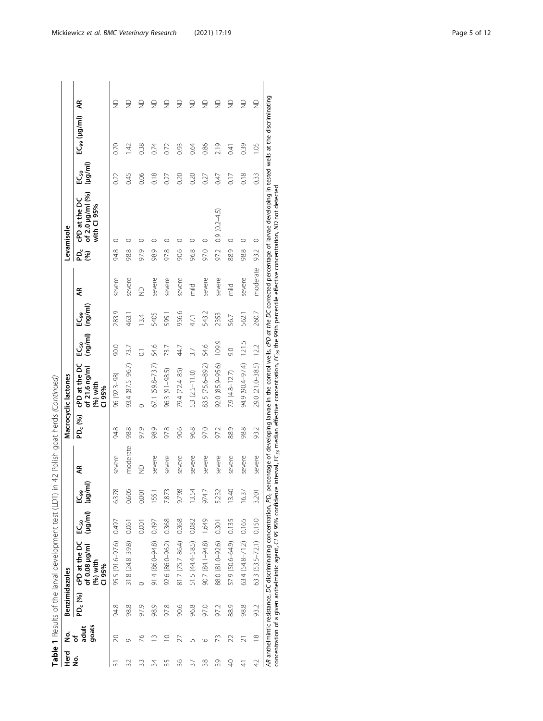| م<br><del>P</del> | ġ              | <b>Benzimidazoles</b> |                                                                    |                                 |          |                    |                     | Macrocyclic lactones                                    |                             |                    |             |            | Levamisole                                                                                                                                                                                                                                                                                                                                                                                                                                     |                   |                          |                                                 |
|-------------------|----------------|-----------------------|--------------------------------------------------------------------|---------------------------------|----------|--------------------|---------------------|---------------------------------------------------------|-----------------------------|--------------------|-------------|------------|------------------------------------------------------------------------------------------------------------------------------------------------------------------------------------------------------------------------------------------------------------------------------------------------------------------------------------------------------------------------------------------------------------------------------------------------|-------------------|--------------------------|-------------------------------------------------|
| ġ                 | goats<br>adult |                       | $PD_c$ (%) cPD at the DC<br>of 0.08 µg/ml<br>$(96)$ with<br>CI 95% | voh (juvoh)<br>EC <sub>50</sub> | हि<br>وي | Æ                  | PD <sub>c</sub> (%) | cPD at the DC<br>of 21.6 ng/ml<br>$(96)$ with<br>CI 95% | (mq/ml)<br>EC <sub>50</sub> | (ng/ml)<br>وي<br>آ | Ę           | ይັ<br>(96) | of 2.0 µg/ml (%)<br>cPD at the DC<br>with CI 95%                                                                                                                                                                                                                                                                                                                                                                                               | (µg/ml)<br>‰<br>⊑ | EC <sub>99</sub> (µg/ml) | Ę                                               |
| ò                 | $\infty$       | 94.8                  | 95.5 (91.6-97.6)                                                   | 0.497                           | 6.378    | severe             | 94.8                | 96 (92.3-98)                                            | 90.0                        | 283.9              | severe      | 94.8       | O                                                                                                                                                                                                                                                                                                                                                                                                                                              | 022               | 0.70                     | ₽                                               |
| 32                | ᡋ              | 98.8                  | 31.8 (24.8-39.8)                                                   | 0.061                           | 0.605    | moderate           | 98.8                | 93.4 (87.5-96.7)                                        | 73.7                        | 463.1              | severe      | 98.8       |                                                                                                                                                                                                                                                                                                                                                                                                                                                | 0.45              | $\overline{42}$          | $\frac{\textcircled{\}}{\textcircled{\}}$       |
| 33                | 26             | 97.9                  | ⊂                                                                  | 0.001                           | 0.001    | $\trianglerighteq$ | 97.9                | C                                                       | $\overline{C}$              | 13.4               | $\supseteq$ | 97.9       |                                                                                                                                                                                                                                                                                                                                                                                                                                                | 0.06              | 0.38                     | $\supseteq$                                     |
| 34                | $\sim$         | 98.9                  | 91.4 (86.0-94.8)                                                   | 0.497                           | 155.1    | severe             | 98.9                | 67.1 (59.8-73.7)                                        | 54.6                        | 5405               | severe      | 98.9       | c                                                                                                                                                                                                                                                                                                                                                                                                                                              | 0.18              | 0.74                     | $\frac{\textstyle\bigcirc}{\textstyle\bigcirc}$ |
| 35                | $\supseteq$    | 97.8                  | 92.6 (86.0-96.2)                                                   | 0.368                           | 7.873    | severe             | 97.8                | 96.3 (91-98.5)                                          | 73.7                        | 595.               | severe      | 97.8       | Ċ                                                                                                                                                                                                                                                                                                                                                                                                                                              | 0.27              | 0.72                     | g                                               |
| 36                | 27             | 90.6                  | 81.7 (75.7-86.4)                                                   | 0.368                           | 9.798    | severe             | 90.6                | 79.4 (72.4-85)                                          | 44.7                        | 956.6              | severe      | 90.6       | ⊂                                                                                                                                                                                                                                                                                                                                                                                                                                              | 0.20              | 0.93                     | $\supseteq$                                     |
| 57                | 5              | 96.8                  | 51.5 (44.4-58.5)                                                   | 0.082                           | 13.54    | severe             | 96.8                | 5.3 (2.5-11.0)                                          | 3.7                         | 47,1               | hild<br>T   | 96.8       | ◠                                                                                                                                                                                                                                                                                                                                                                                                                                              | 0.20              | 0.64                     | $\frac{\textstyle\bigcirc}{\textstyle\bigcirc}$ |
| 38                | O              | 97.0                  | 90.7 (84.1-94.8)                                                   | 1.649                           | 974.7    | severe             | 97.0                | 83.5 (75.6-89.2)                                        | 54.6                        | 543.2              | severe      | 97.0       | $\circ$                                                                                                                                                                                                                                                                                                                                                                                                                                        | 0.27              | 0.86                     | $\frac{\textcircled{\}}{\textcircled{\}}$       |
| 39                | 73             | 97.2                  | 88.0 (81.0-92.6)                                                   | 0.301                           | 5.232    | severe             | 97.2                | 92.0 (85.9-95.6)                                        | 109.9                       | 2353               | severe      | 97.2       | $0.9(0.2-4.5)$                                                                                                                                                                                                                                                                                                                                                                                                                                 | 0.47              | 2.19                     | g                                               |
| $\sqrt{2}$        | 22             | 88.9                  | 57.9 (50.6-64.9)                                                   | 0.135                           | 13.40    | severe             | 88.9                | $7.9(4.8 - 12.7)$                                       | 0.6                         | 56.7               | mild        | 88.9       | 0                                                                                                                                                                                                                                                                                                                                                                                                                                              | $\frac{1}{2}$     | 0.41                     | $\frac{\textstyle\bigcirc}{\textstyle\bigcirc}$ |
| $\frac{1}{4}$     | ត              | 98.8                  | 63.4 (54.8-71.2)                                                   | 0.165                           | 16.37    | severe             | 98.8                | 94.9 (90.4-97.4)                                        | 121.5                       | 562.               | severe      | 98.8       | $\circ$                                                                                                                                                                                                                                                                                                                                                                                                                                        | 0.18              | 0.39                     | ₽                                               |
| $\overline{4}$    | $\frac{8}{10}$ | 93.2                  | 63.3 (53.5-72.1) 0.150                                             |                                 | 3.201    | severe             | 93.2                | 29.0 (21.0-38.5)                                        | 12.2                        | 260.7              | moderate    | 93.2       | $\circ$                                                                                                                                                                                                                                                                                                                                                                                                                                        | 0.33              | 1.05                     | g                                               |
|                   |                |                       |                                                                    |                                 |          |                    |                     |                                                         |                             |                    |             |            | AR anthelmintic resistance, DC discriminating concentration, PD <sub>c</sub> percentage of developing larvae in the control wells, dPD ot the DC corrected percentage of larvae developing in tested wells at the discriminating<br>concentration of a given anthelmintic agent, CJ 95 95% confidence interval, EC <sub>50</sub> median effective concentration, EC <sub>99</sub> the 99th percentile effective concentration, ND not detected |                   |                          |                                                 |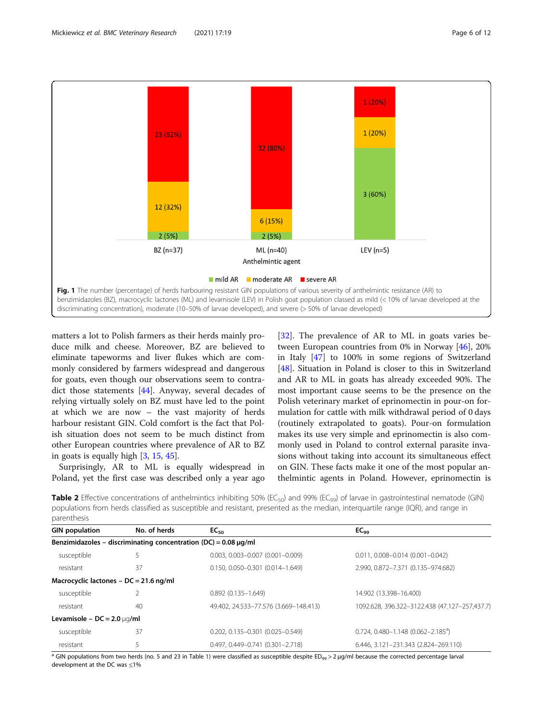<span id="page-5-0"></span>

matters a lot to Polish farmers as their herds mainly produce milk and cheese. Moreover, BZ are believed to eliminate tapeworms and liver flukes which are commonly considered by farmers widespread and dangerous for goats, even though our observations seem to contradict those statements [[44\]](#page-11-0). Anyway, several decades of relying virtually solely on BZ must have led to the point at which we are now – the vast majority of herds harbour resistant GIN. Cold comfort is the fact that Polish situation does not seem to be much distinct from other European countries where prevalence of AR to BZ in goats is equally high [[3,](#page-10-0) [15,](#page-10-0) [45\]](#page-11-0).

Surprisingly, AR to ML is equally widespread in Poland, yet the first case was described only a year ago

[[32\]](#page-10-0). The prevalence of AR to ML in goats varies between European countries from 0% in Norway [\[46](#page-11-0)], 20% in Italy [\[47](#page-11-0)] to 100% in some regions of Switzerland [[48\]](#page-11-0). Situation in Poland is closer to this in Switzerland and AR to ML in goats has already exceeded 90%. The most important cause seems to be the presence on the Polish veterinary market of eprinomectin in pour-on formulation for cattle with milk withdrawal period of 0 days (routinely extrapolated to goats). Pour-on formulation makes its use very simple and eprinomectin is also commonly used in Poland to control external parasite invasions without taking into account its simultaneous effect on GIN. These facts make it one of the most popular anthelmintic agents in Poland. However, eprinomectin is

**Table 2** Effective concentrations of anthelmintics inhibiting 50% (EC<sub>50</sub>) and 99% (EC<sub>99</sub>) of larvae in gastrointestinal nematode (GIN) populations from herds classified as susceptible and resistant, presented as the median, interquartile range (IQR), and range in parenthesis

| <b>GIN population</b>                    | No. of herds                                                         | $EC_{50}$                                | EC <sub>99</sub>                              |
|------------------------------------------|----------------------------------------------------------------------|------------------------------------------|-----------------------------------------------|
|                                          | Benzimidazoles – discriminating concentration (DC) = $0.08 \mu g/ml$ |                                          |                                               |
| susceptible                              | 5                                                                    | $0.003, 0.003 - 0.007$ $(0.001 - 0.009)$ | $0.011, 0.008 - 0.014 (0.001 - 0.042)$        |
| resistant                                | 37                                                                   | $0.150, 0.050 - 0.301$ $(0.014 - 1.649)$ | 2.990, 0.872-7.371 (0.135-974.682)            |
| Macrocyclic lactones - $DC = 21.6$ ng/ml |                                                                      |                                          |                                               |
| susceptible                              |                                                                      | $0.892(0.135 - 1.649)$                   | 14.902 (13.398-16.400)                        |
| resistant                                | 40                                                                   | 49.402, 24.533-77.576 (3.669-148.413)    | 1092.628, 396.322-3122.438 (47.127-257,437.7) |
| Levamisole – $DC = 2.0 \mu q/ml$         |                                                                      |                                          |                                               |
| susceptible                              | 37                                                                   | $0.202, 0.135 - 0.301$ $(0.025 - 0.549)$ | $0.724, 0.480 - 1.148 (0.062 - 2.185^a)$      |
| resistant                                | 5                                                                    | 0.497, 0.449-0.741 (0.301-2.718)         | 6.446, 3.121-231.343 (2.824-269.110)          |

<sup>a</sup> GIN populations from two herds (no. 5 and 23 in Table [1](#page-3-0)) were classified as susceptible despite ED<sub>99</sub> > 2 μg/ml because the corrected percentage larval development at the DC was ≤1%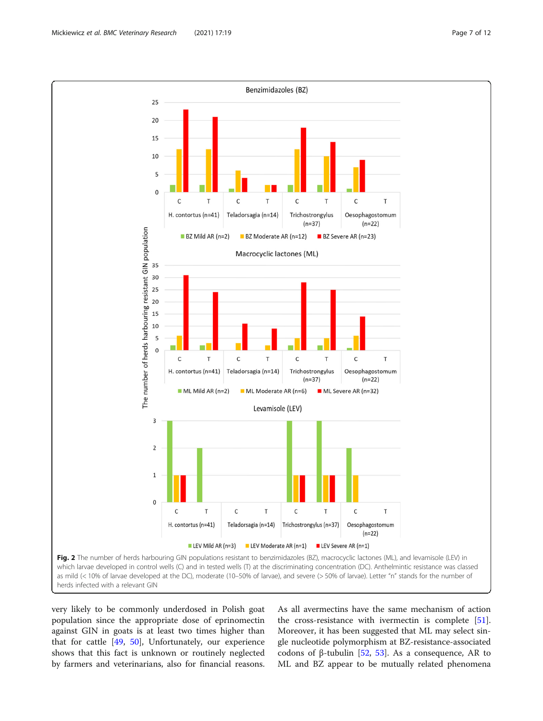very likely to be commonly underdosed in Polish goat population since the appropriate dose of eprinomectin against GIN in goats is at least two times higher than that for cattle [\[49](#page-11-0), [50](#page-11-0)], Unfortunately, our experience shows that this fact is unknown or routinely neglected by farmers and veterinarians, also for financial reasons.

As all avermectins have the same mechanism of action the cross-resistance with ivermectin is complete [\[51](#page-11-0)]. Moreover, it has been suggested that ML may select single nucleotide polymorphism at BZ-resistance-associated codons of β-tubulin [[52](#page-11-0), [53\]](#page-11-0). As a consequence, AR to ML and BZ appear to be mutually related phenomena

<span id="page-6-0"></span>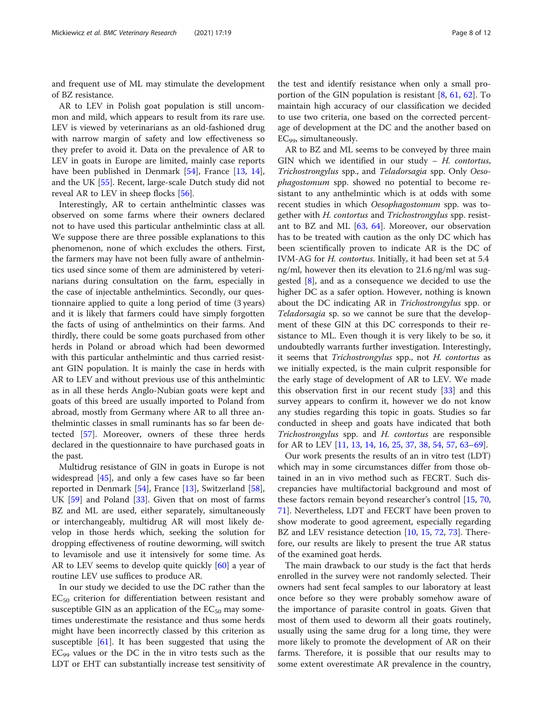and frequent use of ML may stimulate the development of BZ resistance.

AR to LEV in Polish goat population is still uncommon and mild, which appears to result from its rare use. LEV is viewed by veterinarians as an old-fashioned drug with narrow margin of safety and low effectiveness so they prefer to avoid it. Data on the prevalence of AR to LEV in goats in Europe are limited, mainly case reports have been published in Denmark [[54\]](#page-11-0), France [\[13,](#page-10-0) [14](#page-10-0)], and the UK [[55](#page-11-0)]. Recent, large-scale Dutch study did not reveal AR to LEV in sheep flocks [\[56\]](#page-11-0).

Interestingly, AR to certain anthelmintic classes was observed on some farms where their owners declared not to have used this particular anthelmintic class at all. We suppose there are three possible explanations to this phenomenon, none of which excludes the others. First, the farmers may have not been fully aware of anthelmintics used since some of them are administered by veterinarians during consultation on the farm, especially in the case of injectable anthelmintics. Secondly, our questionnaire applied to quite a long period of time (3 years) and it is likely that farmers could have simply forgotten the facts of using of anthelmintics on their farms. And thirdly, there could be some goats purchased from other herds in Poland or abroad which had been dewormed with this particular anthelmintic and thus carried resistant GIN population. It is mainly the case in herds with AR to LEV and without previous use of this anthelmintic as in all these herds Anglo-Nubian goats were kept and goats of this breed are usually imported to Poland from abroad, mostly from Germany where AR to all three anthelmintic classes in small ruminants has so far been detected [\[57](#page-11-0)]. Moreover, owners of these three herds declared in the questionnaire to have purchased goats in the past.

Multidrug resistance of GIN in goats in Europe is not widespread [[45](#page-11-0)], and only a few cases have so far been reported in Denmark [[54](#page-11-0)], France [[13\]](#page-10-0), Switzerland [\[58](#page-11-0)], UK [[59](#page-11-0)] and Poland [\[33](#page-10-0)]. Given that on most of farms BZ and ML are used, either separately, simultaneously or interchangeably, multidrug AR will most likely develop in those herds which, seeking the solution for dropping effectiveness of routine deworming, will switch to levamisole and use it intensively for some time. As AR to LEV seems to develop quite quickly [[60\]](#page-11-0) a year of routine LEV use suffices to produce AR.

In our study we decided to use the DC rather than the  $EC_{50}$  criterion for differentiation between resistant and susceptible GIN as an application of the  $EC_{50}$  may sometimes underestimate the resistance and thus some herds might have been incorrectly classed by this criterion as susceptible  $[61]$  $[61]$ . It has been suggested that using the  $EC_{99}$  values or the DC in the in vitro tests such as the LDT or EHT can substantially increase test sensitivity of

the test and identify resistance when only a small proportion of the GIN population is resistant  $[8, 61, 62]$  $[8, 61, 62]$  $[8, 61, 62]$  $[8, 61, 62]$  $[8, 61, 62]$ . To maintain high accuracy of our classification we decided to use two criteria, one based on the corrected percentage of development at the DC and the another based on  $EC<sub>99</sub>$ , simultaneously.

AR to BZ and ML seems to be conveyed by three main GIN which we identified in our study  $- H$ . contortus, Trichostrongylus spp., and Teladorsagia spp. Only Oesophagostomum spp. showed no potential to become resistant to any anthelmintic which is at odds with some recent studies in which Oesophagostomum spp. was together with H. contortus and Trichostrongylus spp. resistant to BZ and ML [\[63](#page-11-0), [64](#page-11-0)]. Moreover, our observation has to be treated with caution as the only DC which has been scientifically proven to indicate AR is the DC of IVM-AG for H. contortus. Initially, it had been set at 5.4 ng/ml, however then its elevation to 21.6 ng/ml was suggested [\[8](#page-10-0)], and as a consequence we decided to use the higher DC as a safer option. However, nothing is known about the DC indicating AR in Trichostrongylus spp. or Teladorsagia sp. so we cannot be sure that the development of these GIN at this DC corresponds to their resistance to ML. Even though it is very likely to be so, it undoubtedly warrants further investigation. Interestingly, it seems that Trichostrongylus spp., not H. contortus as we initially expected, is the main culprit responsible for the early stage of development of AR to LEV. We made this observation first in our recent study [[33\]](#page-10-0) and this survey appears to confirm it, however we do not know any studies regarding this topic in goats. Studies so far conducted in sheep and goats have indicated that both Trichostrongylus spp. and H. contortus are responsible for AR to LEV [\[11](#page-10-0), [13](#page-10-0), [14](#page-10-0), [16,](#page-10-0) [25,](#page-10-0) [37,](#page-10-0) [38,](#page-10-0) [54](#page-11-0), [57](#page-11-0), [63](#page-11-0)–[69](#page-11-0)].

Our work presents the results of an in vitro test (LDT) which may in some circumstances differ from those obtained in an in vivo method such as FECRT. Such discrepancies have multifactorial background and most of these factors remain beyond researcher's control [\[15](#page-10-0), [70](#page-11-0), [71\]](#page-11-0). Nevertheless, LDT and FECRT have been proven to show moderate to good agreement, especially regarding BZ and LEV resistance detection [[10](#page-10-0), [15,](#page-10-0) [72,](#page-11-0) [73](#page-11-0)]. Therefore, our results are likely to present the true AR status of the examined goat herds.

The main drawback to our study is the fact that herds enrolled in the survey were not randomly selected. Their owners had sent fecal samples to our laboratory at least once before so they were probably somehow aware of the importance of parasite control in goats. Given that most of them used to deworm all their goats routinely, usually using the same drug for a long time, they were more likely to promote the development of AR on their farms. Therefore, it is possible that our results may to some extent overestimate AR prevalence in the country,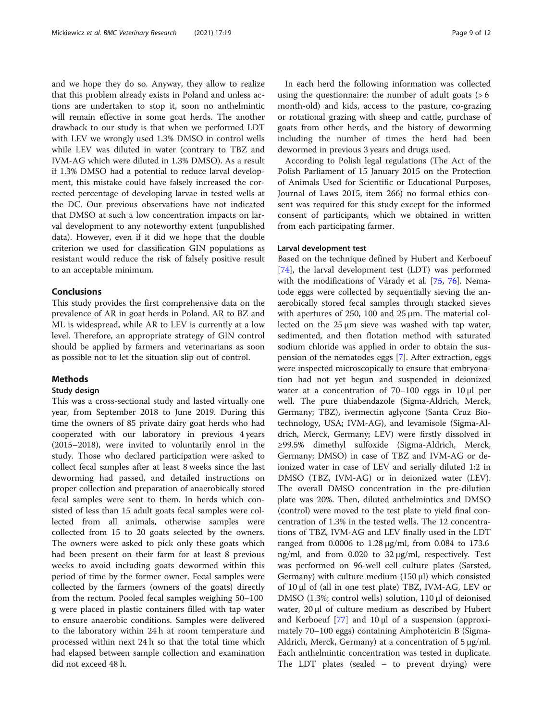and we hope they do so. Anyway, they allow to realize that this problem already exists in Poland and unless actions are undertaken to stop it, soon no anthelmintic will remain effective in some goat herds. The another drawback to our study is that when we performed LDT with LEV we wrongly used 1.3% DMSO in control wells while LEV was diluted in water (contrary to TBZ and IVM-AG which were diluted in 1.3% DMSO). As a result if 1.3% DMSO had a potential to reduce larval development, this mistake could have falsely increased the corrected percentage of developing larvae in tested wells at the DC. Our previous observations have not indicated that DMSO at such a low concentration impacts on larval development to any noteworthy extent (unpublished data). However, even if it did we hope that the double criterion we used for classification GIN populations as resistant would reduce the risk of falsely positive result to an acceptable minimum.

### Conclusions

This study provides the first comprehensive data on the prevalence of AR in goat herds in Poland. AR to BZ and ML is widespread, while AR to LEV is currently at a low level. Therefore, an appropriate strategy of GIN control should be applied by farmers and veterinarians as soon as possible not to let the situation slip out of control.

## Methods

#### Study design

This was a cross-sectional study and lasted virtually one year, from September 2018 to June 2019. During this time the owners of 85 private dairy goat herds who had cooperated with our laboratory in previous 4 years (2015–2018), were invited to voluntarily enrol in the study. Those who declared participation were asked to collect fecal samples after at least 8 weeks since the last deworming had passed, and detailed instructions on proper collection and preparation of anaerobically stored fecal samples were sent to them. In herds which consisted of less than 15 adult goats fecal samples were collected from all animals, otherwise samples were collected from 15 to 20 goats selected by the owners. The owners were asked to pick only these goats which had been present on their farm for at least 8 previous weeks to avoid including goats dewormed within this period of time by the former owner. Fecal samples were collected by the farmers (owners of the goats) directly from the rectum. Pooled fecal samples weighing 50–100 g were placed in plastic containers filled with tap water to ensure anaerobic conditions. Samples were delivered to the laboratory within 24 h at room temperature and processed within next 24 h so that the total time which had elapsed between sample collection and examination did not exceed 48 h.

In each herd the following information was collected using the questionnaire: the number of adult goats  $(>6$ month-old) and kids, access to the pasture, co-grazing or rotational grazing with sheep and cattle, purchase of goats from other herds, and the history of deworming including the number of times the herd had been dewormed in previous 3 years and drugs used.

According to Polish legal regulations (The Act of the Polish Parliament of 15 January 2015 on the Protection of Animals Used for Scientific or Educational Purposes, Journal of Laws 2015, item 266) no formal ethics consent was required for this study except for the informed consent of participants, which we obtained in written from each participating farmer.

## Larval development test

Based on the technique defined by Hubert and Kerboeuf [[74\]](#page-11-0), the larval development test (LDT) was performed with the modifications of Várady et al. [\[75](#page-11-0), [76](#page-11-0)]. Nematode eggs were collected by sequentially sieving the anaerobically stored fecal samples through stacked sieves with apertures of 250, 100 and 25 μm. The material collected on the 25 μm sieve was washed with tap water, sedimented, and then flotation method with saturated sodium chloride was applied in order to obtain the suspension of the nematodes eggs [\[7](#page-10-0)]. After extraction, eggs were inspected microscopically to ensure that embryonation had not yet begun and suspended in deionized water at a concentration of 70–100 eggs in 10 μl per well. The pure thiabendazole (Sigma-Aldrich, Merck, Germany; TBZ), ivermectin aglycone (Santa Cruz Biotechnology, USA; IVM-AG), and levamisole (Sigma-Aldrich, Merck, Germany; LEV) were firstly dissolved in ≥99.5% dimethyl sulfoxide (Sigma-Aldrich, Merck, Germany; DMSO) in case of TBZ and IVM-AG or deionized water in case of LEV and serially diluted 1:2 in DMSO (TBZ, IVM-AG) or in deionized water (LEV). The overall DMSO concentration in the pre-dilution plate was 20%. Then, diluted anthelmintics and DMSO (control) were moved to the test plate to yield final concentration of 1.3% in the tested wells. The 12 concentrations of TBZ, IVM-AG and LEV finally used in the LDT ranged from 0.0006 to 1.28 μg/ml, from 0.084 to 173.6 ng/ml, and from 0.020 to 32 μg/ml, respectively. Test was performed on 96-well cell culture plates (Sarsted, Germany) with culture medium (150 μl) which consisted of 10 μl of (all in one test plate) TBZ, IVM-AG, LEV or DMSO (1.3%; control wells) solution, 110 μl of deionised water, 20 μl of culture medium as described by Hubert and Kerboeuf [\[77](#page-11-0)] and 10 μl of a suspension (approximately 70–100 eggs) containing Amphotericin B (Sigma-Aldrich, Merck, Germany) at a concentration of 5 μg/ml. Each anthelmintic concentration was tested in duplicate. The LDT plates (sealed – to prevent drying) were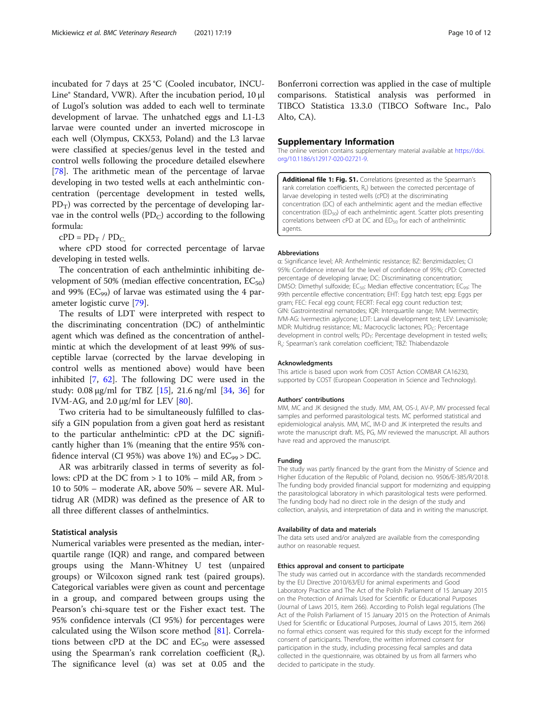<span id="page-9-0"></span>incubated for 7 days at 25 °C (Cooled incubator, INCU-Line® Standard, VWR). After the incubation period, 10 μl of Lugol's solution was added to each well to terminate development of larvae. The unhatched eggs and L1-L3 larvae were counted under an inverted microscope in each well (Olympus, CKX53, Poland) and the L3 larvae were classified at species/genus level in the tested and control wells following the procedure detailed elsewhere [[78\]](#page-11-0). The arithmetic mean of the percentage of larvae developing in two tested wells at each anthelmintic concentration (percentage development in tested wells,  $PD_T$ ) was corrected by the percentage of developing larvae in the control wells  $(PD_C)$  according to the following formula:

 $cPD = PD_T / PD_C$ 

where cPD stood for corrected percentage of larvae developing in tested wells.

The concentration of each anthelmintic inhibiting development of 50% (median effective concentration,  $EC_{50}$ ) and 99% (E $C_{99}$ ) of larvae was estimated using the 4 parameter logistic curve [\[79\]](#page-11-0).

The results of LDT were interpreted with respect to the discriminating concentration (DC) of anthelmintic agent which was defined as the concentration of anthelmintic at which the development of at least 99% of susceptible larvae (corrected by the larvae developing in control wells as mentioned above) would have been inhibited [\[7](#page-10-0), [62](#page-11-0)]. The following DC were used in the study: 0.08 μg/ml for TBZ  $[15]$  $[15]$ , 21.6 ng/ml  $[34, 36]$  $[34, 36]$  $[34, 36]$  $[34, 36]$  for IVM-AG, and  $2.0 \mu g/ml$  for LEV [\[80](#page-11-0)].

Two criteria had to be simultaneously fulfilled to classify a GIN population from a given goat herd as resistant to the particular anthelmintic: cPD at the DC significantly higher than 1% (meaning that the entire 95% confidence interval (CI 95%) was above 1%) and  $EC_{99}$  > DC.

AR was arbitrarily classed in terms of severity as follows: cPD at the DC from  $> 1$  to  $10\%$  – mild AR, from  $>$ 10 to 50% – moderate AR, above 50% – severe AR. Multidrug AR (MDR) was defined as the presence of AR to all three different classes of anthelmintics.

## Statistical analysis

Numerical variables were presented as the median, interquartile range (IQR) and range, and compared between groups using the Mann-Whitney U test (unpaired groups) or Wilcoxon signed rank test (paired groups). Categorical variables were given as count and percentage in a group, and compared between groups using the Pearson's chi-square test or the Fisher exact test. The 95% confidence intervals (CI 95%) for percentages were calculated using the Wilson score method [[81\]](#page-11-0). Correlations between cPD at the DC and  $EC_{50}$  were assessed using the Spearman's rank correlation coefficient  $(R_s)$ . The significance level  $(\alpha)$  was set at 0.05 and the

Bonferroni correction was applied in the case of multiple comparisons. Statistical analysis was performed in TIBCO Statistica 13.3.0 (TIBCO Software Inc., Palo Alto, CA).

#### Supplementary Information

The online version contains supplementary material available at [https://doi.](https://doi.org/10.1186/s12917-020-02721-9) [org/10.1186/s12917-020-02721-9.](https://doi.org/10.1186/s12917-020-02721-9)

Additional file 1: Fig. S1. Correlations (presented as the Spearman's rank correlation coefficients, R.) between the corrected percentage of larvae developing in tested wells (cPD) at the discriminating concentration (DC) of each anthelmintic agent and the median effective concentration (ED<sub>50</sub>) of each anthelmintic agent. Scatter plots presenting correlations between cPD at DC and ED<sub>50</sub> for each of anthelmintic agents.

#### Abbreviations

α: Significance level; AR: Anthelmintic resistance; BZ: Benzimidazoles; CI 95%: Confidence interval for the level of confidence of 95%; cPD: Corrected percentage of developing larvae; DC: Discriminating concentration; DMSO: Dimethyl sulfoxide; EC<sub>50</sub>: Median effective concentration; EC<sub>99</sub>: The 99th percentile effective concentration; EHT: Egg hatch test; epg: Eggs per gram; FEC: Fecal egg count; FECRT: Fecal egg count reduction test; GIN: Gastrointestinal nematodes; IQR: Interquartile range; IVM: Ivermectin; IVM-AG: Ivermectin aglycone; LDT: Larval development test; LEV: Levamisole; MDR: Multidrug resistance; ML: Macrocyclic lactones; PD<sub>C</sub>: Percentage development in control wells; PD<sub>T</sub>: Percentage development in tested wells; Rs: Spearman's rank correlation coefficient; TBZ: Thiabendazole

#### Acknowledgments

This article is based upon work from COST Action COMBAR CA16230, supported by COST (European Cooperation in Science and Technology).

#### Authors' contributions

MM, MC and JK designed the study. MM, AM, OS-J, AV-P, MV processed fecal samples and performed parasitological tests. MC performed statistical and epidemiological analysis. MM, MC, IM-D and JK interpreted the results and wrote the manuscript draft. MS, PG, MV reviewed the manuscript. All authors have read and approved the manuscript.

# Funding

The study was partly financed by the grant from the Ministry of Science and Higher Education of the Republic of Poland, decision no. 9506/E-385/R/2018. The funding body provided financial support for modernizing and equipping the parasitological laboratory in which parasitological tests were performed. The funding body had no direct role in the design of the study and collection, analysis, and interpretation of data and in writing the manuscript.

#### Availability of data and materials

The data sets used and/or analyzed are available from the corresponding author on reasonable request.

#### Ethics approval and consent to participate

The study was carried out in accordance with the standards recommended by the EU Directive 2010/63/EU for animal experiments and Good Laboratory Practice and The Act of the Polish Parliament of 15 January 2015 on the Protection of Animals Used for Scientific or Educational Purposes (Journal of Laws 2015, item 266). According to Polish legal regulations (The Act of the Polish Parliament of 15 January 2015 on the Protection of Animals Used for Scientific or Educational Purposes, Journal of Laws 2015, item 266) no formal ethics consent was required for this study except for the informed consent of participants. Therefore, the written informed consent for participation in the study, including processing fecal samples and data collected in the questionnaire, was obtained by us from all farmers who decided to participate in the study.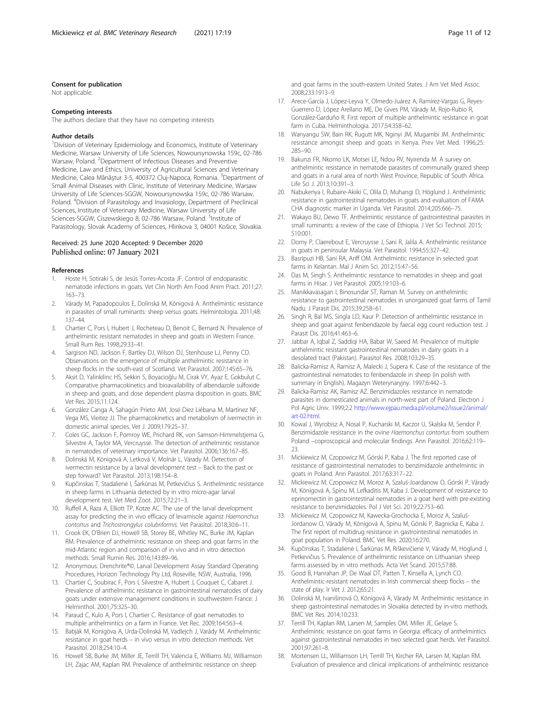#### <span id="page-10-0"></span>Consent for publication

Not applicable.

#### Competing interests

The authors declare that they have no competing interests

#### Author details

<sup>1</sup> Division of Veterinary Epidemiology and Economics, Institute of Veterinary Medicine, Warsaw University of Life Sciences, Nowoursynowska 159c, 02-786 Warsaw, Poland. <sup>2</sup>Department of Infectious Diseases and Preventive Medicine, Law and Ethics, University of Agricultural Sciences and Veterinary Medicine, Calea Mănăștur 3-5, 400372 Cluj-Napoca, Romania. <sup>3</sup>Department of Small Animal Diseases with Clinic, Institute of Veterinary Medicine, Warsaw University of Life Sciences-SGGW, Nowoursynowska 159c, 02-786 Warsaw, Poland. <sup>4</sup>Division of Parasitology and Invasiology, Department of Preclinical Sciences, Institute of Veterinary Medicine, Warsaw University of Life Sciences-SGGW, Ciszewskiego 8, 02-786 Warsaw, Poland. <sup>5</sup>Institute of Parasitology, Slovak Academy of Sciences, Hlinkova 3, 04001 Košice, Slovakia.

## Received: 25 June 2020 Accepted: 9 December 2020 Published online: 07 January 2021

#### References

- 1. Hoste H, Sotiraki S, de Jesús Torres-Acosta JF. Control of endoparasitic nematode infections in goats. Vet Clin North Am Food Anim Pract. 2011;27: 163–73.
- 2. Várady M, Papadopoulos E, Dolinská M, Königová A. Anthelmintic resistance in parasites of small ruminants: sheep versus goats. Helmintologia. 2011;48: 137–44.
- 3. Chartier C, Pors I, Hubert J, Rocheteau D, Benoit C, Bernard N. Prevalence of anthelmintic resistant nematodes in sheep and goats in Western France. Small Rum Res. 1998;29:33–41.
- Sargison ND, Jackson F, Bartley DJ, Wilson DJ, Stenhouse LJ, Penny CD. Observations on the emergence of multiple anthelmintic resistance in sheep flocks in the south-east of Scotland. Vet Parasitol. 2007;145:65–76.
- 5. Aksit D, Yalinkilinc HS, Sekkin S, Boyacioğlu M, Cirak VY, Ayaz E, Gokbulut C. Comparative pharmacokinetics and bioavailability of albendazole sulfoxide in sheep and goats, and dose dependent plasma disposition in goats. BMC Vet Res. 2015;11:124.
- 6. González Canga A, Sahagún Prieto AM, José Diez Liébana M, Martínez NF, Vega MS, Vieitez JJ. The pharmacokinetics and metabolism of ivermectin in domestic animal species. Vet J. 2009;179:25–37.
- 7. Coles GC, Jackson F, Pomroy WE, Prichard RK, von Samson-Himmelstjerna G, Silvestre A, Taylor MA, Vercruysse. The detection of anthelmintic resistance in nematodes of veterinary importance. Vet Parasitol. 2006;136:167–85.
- 8. Dolinská M, Königová A, Letková V, Molnár L, Várady M. Detection of ivermectin resistance by a larval development test – Back to the past or step forward? Vet Parasitol. 2013;198:154–8.
- 9. Kupčinskas T, Stadalienė I, Šarkūnas M, Petkevičius S. Anthelmintic resistance in sheep farms in Lithuania detected by in vitro micro-agar larval development test. Vet Med Zoot. 2015;72:21–3.
- 10. Ruffell A, Raza A, Elliott TP, Kotze AC. The use of the larval development assay for predicting the in vivo efficacy of levamisole against Haemonchus contortus and Trichostrongylus colubriformis. Vet Parasitol. 2018;30:6–11.
- 11. Crook EK, O'Brien DJ, Howell SB, Storey BE, Whitley NC, Burke JM, Kaplan RM. Prevalence of anthelmintic resistance on sheep and goat farms in the mid-Atlantic region and comparison of in vivo and in vitro detection methods. Small Rumin Res. 2016;143:89–96.
- 12. Anonymous. Drenchrite®©, Larval Development Assay Standard Operating Procedures, Horizon Technology Pty Ltd, Roseville, NSW, Australia, 1996.
- 13. Chartier C, Soubirac F, Pors I, Silvestre A, Hubert J, Couquet C, Cabaret J. Prevalence of anthelmintic resistance in gastrointestinal nematodes of dairy goats under extensive management conditions in southwestern France. J Helminthol. 2001;75:325–30.
- 14. Paraud C, Kulo A, Pors I, Chartier C. Resistance of goat nematodes to multiple anthelmintics on a farm in France. Vet Rec. 2009;164:563–4.
- 15. Babják M, Konigöva A, Urda-Dolinská M, Vadlejch J, Varády M. Anthelmintic resistance in goat herds – in vivo versus in vitro detection methods. Vet Parasitol. 2018;254:10–4.
- 16. Howell SB, Burke JM, Miller JE, Terrill TH, Valencia E, Williams MJ, Williamson LH, Zajac AM, Kaplan RM. Prevalence of anthelmintic resistance on sheep

and goat farms in the south-eastern United States. J Am Vet Med Assoc. 2008;233:1913–9.

- 17. Arece-García J, López-Leyva Y, Olmedo-Juárez A, Ramírez-Vargas G, Reyes-Guerrero D, López Arellano ME, De Gives PM, Várady M, Rojo-Rubio R, González-Garduño R. First report of multiple anthelmintic resistance in goat farm in Cuba. Helminthologia. 2017;54:358–62.
- 18. Wanyangu SW, Bain RK, Rugutt MK, Nginyi JM, Mugambi JM. Anthelmintic resistance amongst sheep and goats in Kenya. Prev Vet Med. 1996;25: 285–90.
- 19. Bakunzi FR, Nkomo LK, Motsei LE, Ndou RV, Nyirenda M. A survey on anthelmintic resistance in nematode parasites of communally grazed sheep and goats in a rural area of north West Province, Republic of South Africa. Life Sci J. 2013;10:391–3.
- 20. Nabukenya I, Rubaire-Akiiki C, Olila D, Muhangi D, Höglund J. Anthelmintic resistance in gastrointestinal nematodes in goats and evaluation of FAMA CHA diagnostic marker in Uganda. Vet Parasitol. 2014;205:666–75.
- 21. Wakayo BU, Dewo TF. Anthelmintic resistance of gastrointestinal parasites in small ruminants: a review of the case of Ethiopia. J Vet Sci Technol. 2015; S10:001.
- 22. Dorny P, Claerebout E, Vercruysse J, Sani R, Jalila A. Anthelmintic resistance in goats in peninsular Malaysia. Vet Parasitol. 1994;55:327–42.
- 23. Basripuzi HB, Sani RA, Ariff OM. Anthelmintic resistance in selected goat farms in Kelantan. Mal J Anim Sci. 2012;15:47–56.
- 24. Das M, Singh S. Anthelmintic resistance to nematodes in sheep and goat farms in Hisar. J Vet Parasitol. 2005;19:103–6.
- 25. Manikkavasagan I, Binosundar ST, Raman M. Survey on anthelmintic resistance to gastrointestinal nematodes in unorganized goat farms of Tamil Nadu. J Parasit Dis. 2015;39:258–61.
- 26. Singh R, Bal MS, Singla LD, Kaur P. Detection of anthelmintic resistance in sheep and goat against fenbendazole by faecal egg count reduction test. J Parasit Dis. 2016;41:463–6.
- 27. Jabbar A, Iqbal Z, Saddiqi HA, Babar W, Saeed M. Prevalence of multiple anthelmintic resistant gastrointestinal nematodes in dairy goats in a desolated tract (Pakistan). Parasitol Res. 2008;103:29–35.
- 28. Balicka-Ramisz A, Ramisz A, Malecki J, Supera K. Case of the resistance of the gastrointestinal nematodes to fenbendazole in sheep (in polish with summary in English). Magazyn Weterynaryjny. 1997;6:442–3.
- 29. Balicka-Ramisz AK, Ramisz AZ. Benzimidazoles resistance in nematode parasites in domesticated animals in north-west part of Poland. Electron J Pol Agric Univ. 1999;2:2 [http://www.ejpau.media.pl/volume2/issue2/animal/](http://www.ejpau.media.pl/volume2/issue2/animal/art-02.html) [art-02.html](http://www.ejpau.media.pl/volume2/issue2/animal/art-02.html).
- 30. Kowal J, Wyrobisz A, Nosal P, Kucharski M, Kaczor U, Skalska M, Sendor P. Benzimidazole resistance in the ovine Haemonchus contortus from southern Poland –coproscopical and molecular findings. Ann Parasitol. 2016;62:119– 23.
- 31. Mickiewicz M, Czopowicz M, Górski P, Kaba J. The first reported case of resistance of gastrointestinal nematodes to benzimidazole anthelmintic in goats in Poland. Ann Parasitol. 2017;63:317–22.
- 32. Mickiewicz M, Czopowicz M, Moroz A, Szaluś-Joardanow O, Górski P, Várady M, Königová A, Spinu M, Lefkaditis M, Kaba J. Development of resistance to eprinomectin in gastrointestinal nematodes in a goat herd with pre-existing resistance to benzimidazoles. Pol J Vet Sci. 2019;22:753–60.
- 33. Mickiewicz M, Czopowicz M, Kawecka-Grochocka E, Moroz A, Szaluś-Jordanow O, Várady M, Königová A, Spinu M, Górski P, Bagnicka E, Kaba J. The first report of multidrug resistance in gastrointestinal nematodes in goat population in Poland. BMC Vet Res. 2020;16:270.
- 34. Kupčinskas T, Stadalienė I, Šarkūnas M, Riškevičienė V, Várady M, Höglund J, Petkevičius S. Prevalence of anthelmintic resistance on Lithuanian sheep farms assessed by in vitro methods. Acta Vet Scand. 2015;57:88.
- 35. Good B, Hanrahan JP, De Waal DT, Patten T, Kinsella A, Lynch CO. Anthelmintic-resistant nematodes in Irish commercial sheep flocks – the state of play. Ir Vet J. 2012;65:21.
- 36. Dolinská M, Ivanišinová O, Königová A, Várady M. Anthelmintic resistance in sheep gastrointestinal nematodes in Slovakia detected by in-vitro methods. BMC Vet Res. 2014;10:233.
- 37. Terrill TH, Kaplan RM, Larsen M, Samples OM, Miller JE, Gelaye S. Anthelmintic resistance on goat farms in Georgia: efficacy of anthelmintics against gastrointestinal nematodes in two selected goat herds. Vet Parasitol. 2001;97:261–8.
- 38. Mortensen LL, Williamson LH, Terrill TH, Kircher RA, Larsen M, Kaplan RM. Evaluation of prevalence and clinical implications of anthelmintic resistance